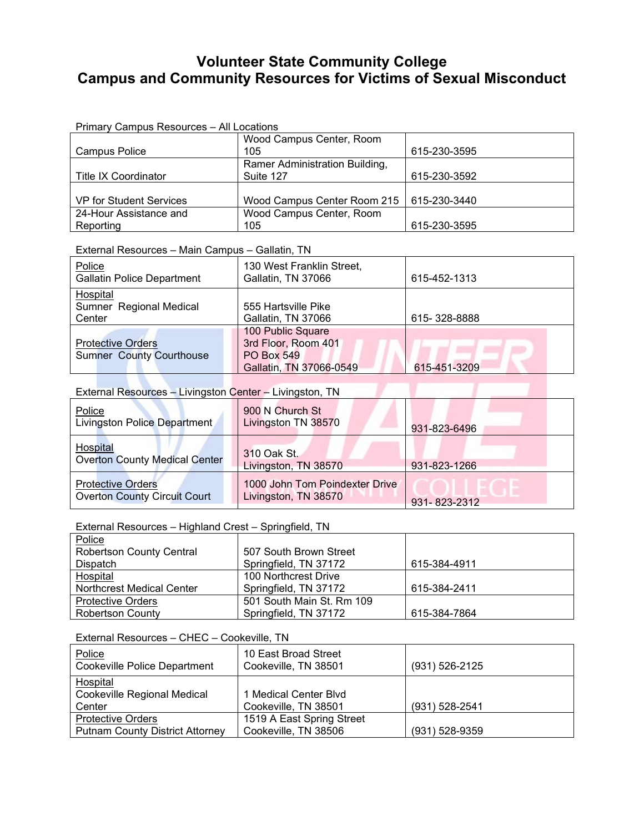# **Volunteer State Community College Campus and Community Resources for Victims of Sexual Misconduct**

|                         | Wood Campus Center, Room       |              |
|-------------------------|--------------------------------|--------------|
| <b>Campus Police</b>    | 105                            | 615-230-3595 |
|                         | Ramer Administration Building, |              |
| Title IX Coordinator    | Suite 127                      | 615-230-3592 |
|                         |                                |              |
| VP for Student Services | Wood Campus Center Room 215    | 615-230-3440 |
| 24-Hour Assistance and  | Wood Campus Center, Room       |              |
| Reporting               | 105                            | 615-230-3595 |

#### External Resources – Main Campus – Gallatin, TN

| Police<br><b>Gallatin Police Department</b>                 | 130 West Franklin Street,<br>Gallatin, TN 37066                                          | 615-452-1313 |
|-------------------------------------------------------------|------------------------------------------------------------------------------------------|--------------|
| Hospital<br>Sumner Regional Medical<br>Center               | 555 Hartsville Pike<br>Gallatin, TN 37066                                                | 615-328-8888 |
| <b>Protective Orders</b><br><b>Sumner County Courthouse</b> | 100 Public Square<br>3rd Floor, Room 401<br><b>PO Box 549</b><br>Gallatin, TN 37066-0549 | 615-451-3209 |

# External Resources – Livingston Center – Livingston, TN

| Police<br>Livingston Police Department                          | 900 N Church St<br>Livingston TN 38570                 | 931-823-6496 |
|-----------------------------------------------------------------|--------------------------------------------------------|--------------|
| <b>Hospital</b><br><b>Overton County Medical Center</b>         | 310 Oak St.<br>Livingston, TN 38570                    | 931-823-1266 |
| <b>Protective Orders</b><br><b>Overton County Circuit Court</b> | 1000 John Tom Poindexter Drive<br>Livingston, TN 38570 | 931-823-2312 |

and the control

## External Resources – Highland Crest – Springfield, TN

| Police                           |                           |              |
|----------------------------------|---------------------------|--------------|
| <b>Robertson County Central</b>  | 507 South Brown Street    |              |
| <b>Dispatch</b>                  | Springfield, TN 37172     | 615-384-4911 |
| Hospital                         | 100 Northcrest Drive      |              |
| <b>Northcrest Medical Center</b> | Springfield, TN 37172     | 615-384-2411 |
| <b>Protective Orders</b>         | 501 South Main St. Rm 109 |              |
| <b>Robertson County</b>          | Springfield, TN 37172     | 615-384-7864 |

### External Resources – CHEC – Cookeville, TN

| Police<br><b>Cookeville Police Department</b> | 10 East Broad Street<br>Cookeville, TN 38501 | $(931) 526 - 2125$ |
|-----------------------------------------------|----------------------------------------------|--------------------|
| Hospital                                      |                                              |                    |
| Cookeville Regional Medical                   | 1 Medical Center Blvd                        |                    |
| Center                                        | Cookeville, TN 38501                         | (931) 528-2541     |
| <b>Protective Orders</b>                      | 1519 A East Spring Street                    |                    |
| <b>Putnam County District Attorney</b>        | Cookeville, TN 38506                         | (931) 528-9359     |